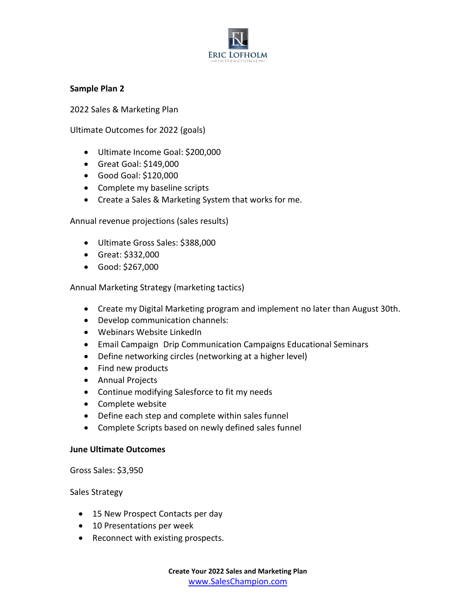

## **Sample Plan 2**

2022 Sales & Marketing Plan

Ultimate Outcomes for 2022 (goals)

- Ultimate Income Goal: \$200,000
- Great Goal: \$149,000
- Good Goal: \$120,000
- Complete my baseline scripts
- Create a Sales & Marketing System that works for me.

Annual revenue projections (sales results)

- Ultimate Gross Sales: \$388,000
- Great: \$332,000
- Good: \$267,000

Annual Marketing Strategy (marketing tactics)

- Create my Digital Marketing program and implement no later than August 30th.
- Develop communication channels:
- Webinars Website LinkedIn
- Email Campaign Drip Communication Campaigns Educational Seminars
- Define networking circles (networking at a higher level)
- Find new products
- Annual Projects
- Continue modifying Salesforce to fit my needs
- Complete website
- Define each step and complete within sales funnel
- Complete Scripts based on newly defined sales funnel

## **June Ultimate Outcomes**

Gross Sales: \$3,950

Sales Strategy

- 15 New Prospect Contacts per day
- 10 Presentations per week
- Reconnect with existing prospects.